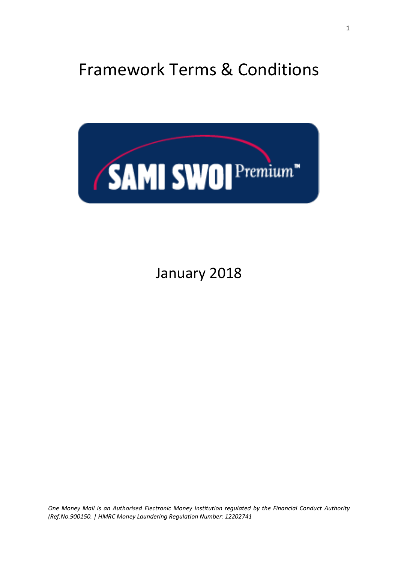# Framework Terms & Conditions



# January 2018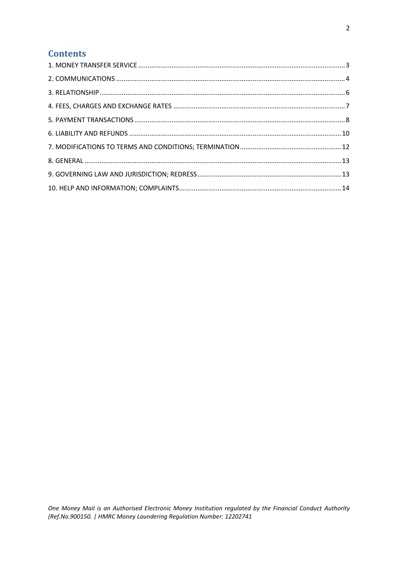# **Contents**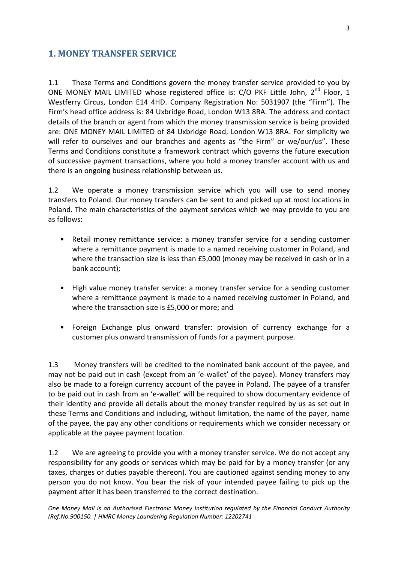#### <span id="page-2-0"></span>**1. MONEY TRANSFER SERVICE**

1.1 These Terms and Conditions govern the money transfer service provided to you by ONE MONEY MAIL LIMITED whose registered office is: C/O PKF Little John, 2<sup>nd</sup> Floor, 1 Westferry Circus, London E14 4HD. Company Registration No: 5031907 (the "Firm"). The Firm's head office address is: 84 Uxbridge Road, London W13 8RA. The address and contact details of the branch or agent from which the money transmission service is being provided are: ONE MONEY MAIL LIMITED of 84 Uxbridge Road, London W13 8RA. For simplicity we will refer to ourselves and our branches and agents as "the Firm" or we/our/us". These Terms and Conditions constitute a framework contract which governs the future execution of successive payment transactions, where you hold a money transfer account with us and there is an ongoing business relationship between us.

1.2 We operate a money transmission service which you will use to send money transfers to Poland. Our money transfers can be sent to and picked up at most locations in Poland. The main characteristics of the payment services which we may provide to you are as follows:

- Retail money remittance service: a money transfer service for a sending customer where a remittance payment is made to a named receiving customer in Poland, and where the transaction size is less than £5,000 (money may be received in cash or in a bank account);
- High value money transfer service: a money transfer service for a sending customer where a remittance payment is made to a named receiving customer in Poland, and where the transaction size is £5,000 or more; and
- Foreign Exchange plus onward transfer: provision of currency exchange for a customer plus onward transmission of funds for a payment purpose.

1.3 Money transfers will be credited to the nominated bank account of the payee, and may not be paid out in cash (except from an 'e-wallet' of the payee). Money transfers may also be made to a foreign currency account of the payee in Poland. The payee of a transfer to be paid out in cash from an 'e-wallet' will be required to show documentary evidence of their identity and provide all details about the money transfer required by us as set out in these Terms and Conditions and including, without limitation, the name of the payer, name of the payee, the pay any other conditions or requirements which we consider necessary or applicable at the payee payment location.

1.2 We are agreeing to provide you with a money transfer service. We do not accept any responsibility for any goods or services which may be paid for by a money transfer (or any taxes, charges or duties payable thereon). You are cautioned against sending money to any person you do not know. You bear the risk of your intended payee failing to pick up the payment after it has been transferred to the correct destination.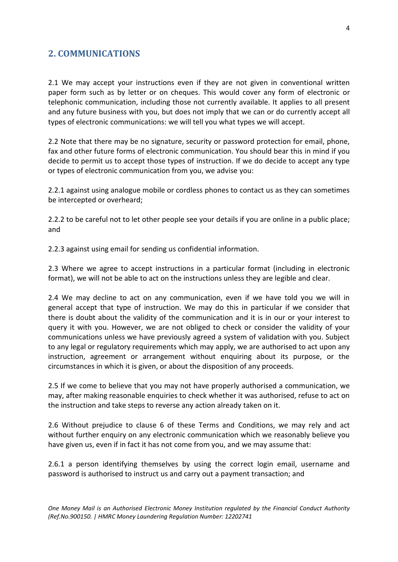# <span id="page-3-0"></span>**2. COMMUNICATIONS**

2.1 We may accept your instructions even if they are not given in conventional written paper form such as by letter or on cheques. This would cover any form of electronic or telephonic communication, including those not currently available. It applies to all present and any future business with you, but does not imply that we can or do currently accept all types of electronic communications: we will tell you what types we will accept.

2.2 Note that there may be no signature, security or password protection for email, phone, fax and other future forms of electronic communication. You should bear this in mind if you decide to permit us to accept those types of instruction. If we do decide to accept any type or types of electronic communication from you, we advise you:

2.2.1 against using analogue mobile or cordless phones to contact us as they can sometimes be intercepted or overheard;

2.2.2 to be careful not to let other people see your details if you are online in a public place; and

2.2.3 against using email for sending us confidential information.

2.3 Where we agree to accept instructions in a particular format (including in electronic format), we will not be able to act on the instructions unless they are legible and clear.

2.4 We may decline to act on any communication, even if we have told you we will in general accept that type of instruction. We may do this in particular if we consider that there is doubt about the validity of the communication and it is in our or your interest to query it with you. However, we are not obliged to check or consider the validity of your communications unless we have previously agreed a system of validation with you. Subject to any legal or regulatory requirements which may apply, we are authorised to act upon any instruction, agreement or arrangement without enquiring about its purpose, or the circumstances in which it is given, or about the disposition of any proceeds.

2.5 If we come to believe that you may not have properly authorised a communication, we may, after making reasonable enquiries to check whether it was authorised, refuse to act on the instruction and take steps to reverse any action already taken on it.

2.6 Without prejudice to clause 6 of these Terms and Conditions, we may rely and act without further enquiry on any electronic communication which we reasonably believe you have given us, even if in fact it has not come from you, and we may assume that:

2.6.1 a person identifying themselves by using the correct login email, username and password is authorised to instruct us and carry out a payment transaction; and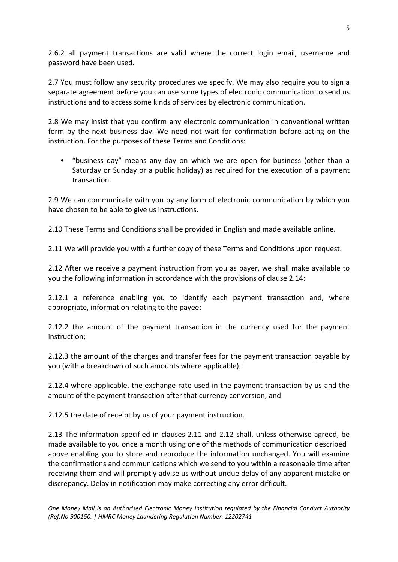2.6.2 all payment transactions are valid where the correct login email, username and password have been used.

2.7 You must follow any security procedures we specify. We may also require you to sign a separate agreement before you can use some types of electronic communication to send us instructions and to access some kinds of services by electronic communication.

2.8 We may insist that you confirm any electronic communication in conventional written form by the next business day. We need not wait for confirmation before acting on the instruction. For the purposes of these Terms and Conditions:

• "business day" means any day on which we are open for business (other than a Saturday or Sunday or a public holiday) as required for the execution of a payment transaction.

2.9 We can communicate with you by any form of electronic communication by which you have chosen to be able to give us instructions.

2.10 These Terms and Conditions shall be provided in English and made available online.

2.11 We will provide you with a further copy of these Terms and Conditions upon request.

2.12 After we receive a payment instruction from you as payer, we shall make available to you the following information in accordance with the provisions of clause 2.14:

2.12.1 a reference enabling you to identify each payment transaction and, where appropriate, information relating to the payee;

2.12.2 the amount of the payment transaction in the currency used for the payment instruction;

2.12.3 the amount of the charges and transfer fees for the payment transaction payable by you (with a breakdown of such amounts where applicable);

2.12.4 where applicable, the exchange rate used in the payment transaction by us and the amount of the payment transaction after that currency conversion; and

2.12.5 the date of receipt by us of your payment instruction.

2.13 The information specified in clauses 2.11 and 2.12 shall, unless otherwise agreed, be made available to you once a month using one of the methods of communication described above enabling you to store and reproduce the information unchanged. You will examine the confirmations and communications which we send to you within a reasonable time after receiving them and will promptly advise us without undue delay of any apparent mistake or discrepancy. Delay in notification may make correcting any error difficult.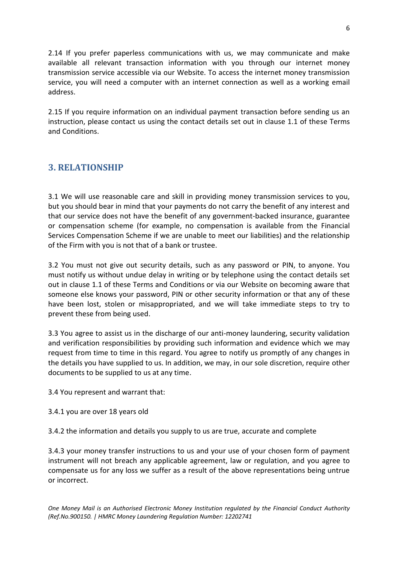2.14 If you prefer paperless communications with us, we may communicate and make available all relevant transaction information with you through our internet money transmission service accessible via our Website. To access the internet money transmission service, you will need a computer with an internet connection as well as a working email address.

2.15 If you require information on an individual payment transaction before sending us an instruction, please contact us using the contact details set out in clause 1.1 of these Terms and Conditions.

# <span id="page-5-0"></span>**3. RELATIONSHIP**

3.1 We will use reasonable care and skill in providing money transmission services to you, but you should bear in mind that your payments do not carry the benefit of any interest and that our service does not have the benefit of any government-backed insurance, guarantee or compensation scheme (for example, no compensation is available from the Financial Services Compensation Scheme if we are unable to meet our liabilities) and the relationship of the Firm with you is not that of a bank or trustee.

3.2 You must not give out security details, such as any password or PIN, to anyone. You must notify us without undue delay in writing or by telephone using the contact details set out in clause 1.1 of these Terms and Conditions or via our Website on becoming aware that someone else knows your password, PIN or other security information or that any of these have been lost, stolen or misappropriated, and we will take immediate steps to try to prevent these from being used.

3.3 You agree to assist us in the discharge of our anti-money laundering, security validation and verification responsibilities by providing such information and evidence which we may request from time to time in this regard. You agree to notify us promptly of any changes in the details you have supplied to us. In addition, we may, in our sole discretion, require other documents to be supplied to us at any time.

3.4 You represent and warrant that:

- 3.4.1 you are over 18 years old
- 3.4.2 the information and details you supply to us are true, accurate and complete

3.4.3 your money transfer instructions to us and your use of your chosen form of payment instrument will not breach any applicable agreement, law or regulation, and you agree to compensate us for any loss we suffer as a result of the above representations being untrue or incorrect.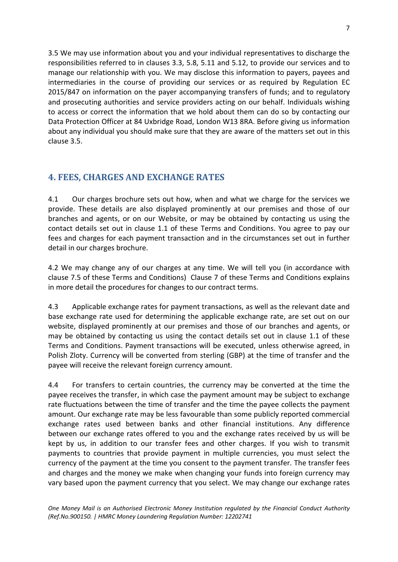3.5 We may use information about you and your individual representatives to discharge the responsibilities referred to in clauses 3.3, 5.8, 5.11 and 5.12, to provide our services and to manage our relationship with you. We may disclose this information to payers, payees and intermediaries in the course of providing our services or as required by Regulation EC 2015/847 on information on the payer accompanying transfers of funds; and to regulatory and prosecuting authorities and service providers acting on our behalf. Individuals wishing to access or correct the information that we hold about them can do so by contacting our Data Protection Officer at 84 Uxbridge Road, London W13 8RA. Before giving us information about any individual you should make sure that they are aware of the matters set out in this clause 3.5.

# <span id="page-6-0"></span>**4. FEES, CHARGES AND EXCHANGE RATES**

4.1 Our charges brochure sets out how, when and what we charge for the services we provide. These details are also displayed prominently at our premises and those of our branches and agents, or on our Website, or may be obtained by contacting us using the contact details set out in clause 1.1 of these Terms and Conditions. You agree to pay our fees and charges for each payment transaction and in the circumstances set out in further detail in our charges brochure.

4.2 We may change any of our charges at any time. We will tell you (in accordance with clause 7.5 of these Terms and Conditions) Clause 7 of these Terms and Conditions explains in more detail the procedures for changes to our contract terms.

4.3 Applicable exchange rates for payment transactions, as well as the relevant date and base exchange rate used for determining the applicable exchange rate, are set out on our website, displayed prominently at our premises and those of our branches and agents, or may be obtained by contacting us using the contact details set out in clause 1.1 of these Terms and Conditions. Payment transactions will be executed, unless otherwise agreed, in Polish Zloty. Currency will be converted from sterling (GBP) at the time of transfer and the payee will receive the relevant foreign currency amount.

4.4 For transfers to certain countries, the currency may be converted at the time the payee receives the transfer, in which case the payment amount may be subject to exchange rate fluctuations between the time of transfer and the time the payee collects the payment amount. Our exchange rate may be less favourable than some publicly reported commercial exchange rates used between banks and other financial institutions. Any difference between our exchange rates offered to you and the exchange rates received by us will be kept by us, in addition to our transfer fees and other charges. If you wish to transmit payments to countries that provide payment in multiple currencies, you must select the currency of the payment at the time you consent to the payment transfer. The transfer fees and charges and the money we make when changing your funds into foreign currency may vary based upon the payment currency that you select. We may change our exchange rates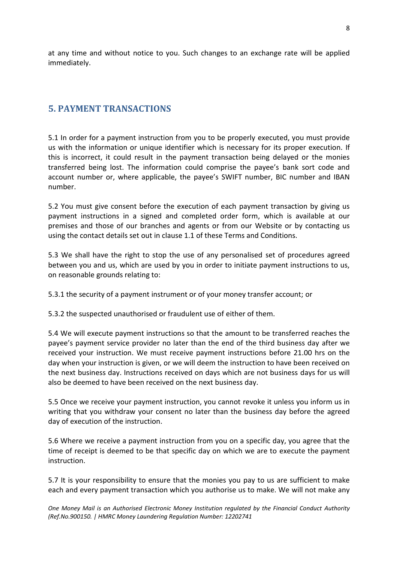at any time and without notice to you. Such changes to an exchange rate will be applied immediately.

#### <span id="page-7-0"></span>**5. PAYMENT TRANSACTIONS**

5.1 In order for a payment instruction from you to be properly executed, you must provide us with the information or unique identifier which is necessary for its proper execution. If this is incorrect, it could result in the payment transaction being delayed or the monies transferred being lost. The information could comprise the payee's bank sort code and account number or, where applicable, the payee's SWIFT number, BIC number and IBAN number.

5.2 You must give consent before the execution of each payment transaction by giving us payment instructions in a signed and completed order form, which is available at our premises and those of our branches and agents or from our Website or by contacting us using the contact details set out in clause 1.1 of these Terms and Conditions.

5.3 We shall have the right to stop the use of any personalised set of procedures agreed between you and us, which are used by you in order to initiate payment instructions to us, on reasonable grounds relating to:

5.3.1 the security of a payment instrument or of your money transfer account; or

5.3.2 the suspected unauthorised or fraudulent use of either of them.

5.4 We will execute payment instructions so that the amount to be transferred reaches the payee's payment service provider no later than the end of the third business day after we received your instruction. We must receive payment instructions before 21.00 hrs on the day when your instruction is given, or we will deem the instruction to have been received on the next business day. Instructions received on days which are not business days for us will also be deemed to have been received on the next business day.

5.5 Once we receive your payment instruction, you cannot revoke it unless you inform us in writing that you withdraw your consent no later than the business day before the agreed day of execution of the instruction.

5.6 Where we receive a payment instruction from you on a specific day, you agree that the time of receipt is deemed to be that specific day on which we are to execute the payment instruction.

5.7 It is your responsibility to ensure that the monies you pay to us are sufficient to make each and every payment transaction which you authorise us to make. We will not make any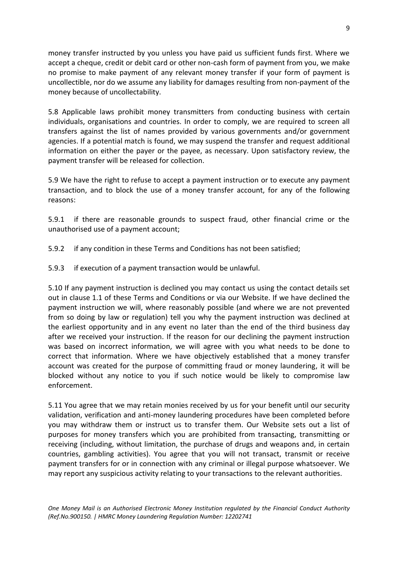money transfer instructed by you unless you have paid us sufficient funds first. Where we accept a cheque, credit or debit card or other non-cash form of payment from you, we make no promise to make payment of any relevant money transfer if your form of payment is uncollectible, nor do we assume any liability for damages resulting from non-payment of the money because of uncollectability.

5.8 Applicable laws prohibit money transmitters from conducting business with certain individuals, organisations and countries. In order to comply, we are required to screen all transfers against the list of names provided by various governments and/or government agencies. If a potential match is found, we may suspend the transfer and request additional information on either the payer or the payee, as necessary. Upon satisfactory review, the payment transfer will be released for collection.

5.9 We have the right to refuse to accept a payment instruction or to execute any payment transaction, and to block the use of a money transfer account, for any of the following reasons:

5.9.1 if there are reasonable grounds to suspect fraud, other financial crime or the unauthorised use of a payment account;

- 5.9.2 if any condition in these Terms and Conditions has not been satisfied;
- 5.9.3 if execution of a payment transaction would be unlawful.

5.10 If any payment instruction is declined you may contact us using the contact details set out in clause 1.1 of these Terms and Conditions or via our Website. If we have declined the payment instruction we will, where reasonably possible (and where we are not prevented from so doing by law or regulation) tell you why the payment instruction was declined at the earliest opportunity and in any event no later than the end of the third business day after we received your instruction. If the reason for our declining the payment instruction was based on incorrect information, we will agree with you what needs to be done to correct that information. Where we have objectively established that a money transfer account was created for the purpose of committing fraud or money laundering, it will be blocked without any notice to you if such notice would be likely to compromise law enforcement.

5.11 You agree that we may retain monies received by us for your benefit until our security validation, verification and anti-money laundering procedures have been completed before you may withdraw them or instruct us to transfer them. Our Website sets out a list of purposes for money transfers which you are prohibited from transacting, transmitting or receiving (including, without limitation, the purchase of drugs and weapons and, in certain countries, gambling activities). You agree that you will not transact, transmit or receive payment transfers for or in connection with any criminal or illegal purpose whatsoever. We may report any suspicious activity relating to your transactions to the relevant authorities.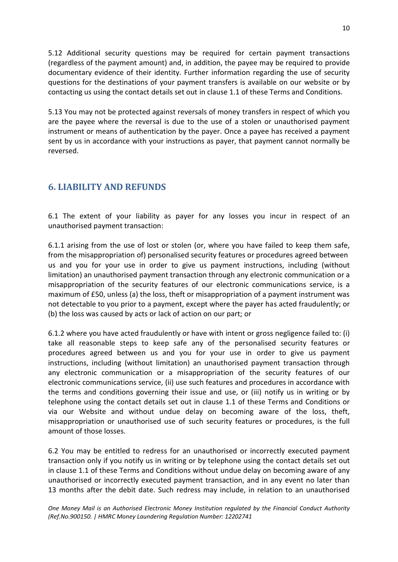5.12 Additional security questions may be required for certain payment transactions (regardless of the payment amount) and, in addition, the payee may be required to provide documentary evidence of their identity. Further information regarding the use of security questions for the destinations of your payment transfers is available on our website or by contacting us using the contact details set out in clause 1.1 of these Terms and Conditions.

5.13 You may not be protected against reversals of money transfers in respect of which you are the payee where the reversal is due to the use of a stolen or unauthorised payment instrument or means of authentication by the payer. Once a payee has received a payment sent by us in accordance with your instructions as payer, that payment cannot normally be reversed.

# <span id="page-9-0"></span>**6. LIABILITY AND REFUNDS**

6.1 The extent of your liability as payer for any losses you incur in respect of an unauthorised payment transaction:

6.1.1 arising from the use of lost or stolen (or, where you have failed to keep them safe, from the misappropriation of) personalised security features or procedures agreed between us and you for your use in order to give us payment instructions, including (without limitation) an unauthorised payment transaction through any electronic communication or a misappropriation of the security features of our electronic communications service, is a maximum of £50, unless (a) the loss, theft or misappropriation of a payment instrument was not detectable to you prior to a payment, except where the payer has acted fraudulently; or (b) the loss was caused by acts or lack of action on our part; or

6.1.2 where you have acted fraudulently or have with intent or gross negligence failed to: (i) take all reasonable steps to keep safe any of the personalised security features or procedures agreed between us and you for your use in order to give us payment instructions, including (without limitation) an unauthorised payment transaction through any electronic communication or a misappropriation of the security features of our electronic communications service, (ii) use such features and procedures in accordance with the terms and conditions governing their issue and use, or (iii) notify us in writing or by telephone using the contact details set out in clause 1.1 of these Terms and Conditions or via our Website and without undue delay on becoming aware of the loss, theft, misappropriation or unauthorised use of such security features or procedures, is the full amount of those losses.

6.2 You may be entitled to redress for an unauthorised or incorrectly executed payment transaction only if you notify us in writing or by telephone using the contact details set out in clause 1.1 of these Terms and Conditions without undue delay on becoming aware of any unauthorised or incorrectly executed payment transaction, and in any event no later than 13 months after the debit date. Such redress may include, in relation to an unauthorised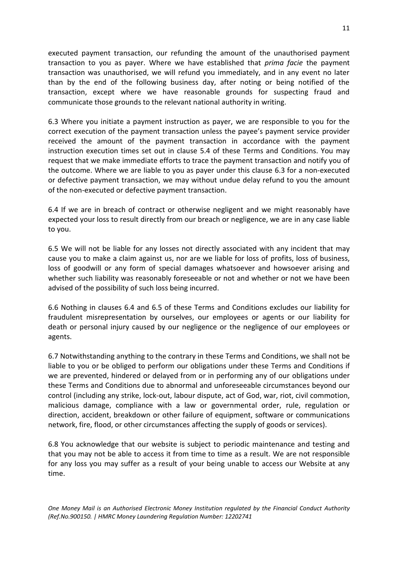executed payment transaction, our refunding the amount of the unauthorised payment transaction to you as payer. Where we have established that *prima facie* the payment transaction was unauthorised, we will refund you immediately, and in any event no later than by the end of the following business day, after noting or being notified of the transaction, except where we have reasonable grounds for suspecting fraud and communicate those grounds to the relevant national authority in writing.

6.3 Where you initiate a payment instruction as payer, we are responsible to you for the correct execution of the payment transaction unless the payee's payment service provider received the amount of the payment transaction in accordance with the payment instruction execution times set out in clause 5.4 of these Terms and Conditions. You may request that we make immediate efforts to trace the payment transaction and notify you of the outcome. Where we are liable to you as payer under this clause 6.3 for a non-executed or defective payment transaction, we may without undue delay refund to you the amount of the non-executed or defective payment transaction.

6.4 If we are in breach of contract or otherwise negligent and we might reasonably have expected your loss to result directly from our breach or negligence, we are in any case liable to you.

6.5 We will not be liable for any losses not directly associated with any incident that may cause you to make a claim against us, nor are we liable for loss of profits, loss of business, loss of goodwill or any form of special damages whatsoever and howsoever arising and whether such liability was reasonably foreseeable or not and whether or not we have been advised of the possibility of such loss being incurred.

6.6 Nothing in clauses 6.4 and 6.5 of these Terms and Conditions excludes our liability for fraudulent misrepresentation by ourselves, our employees or agents or our liability for death or personal injury caused by our negligence or the negligence of our employees or agents.

6.7 Notwithstanding anything to the contrary in these Terms and Conditions, we shall not be liable to you or be obliged to perform our obligations under these Terms and Conditions if we are prevented, hindered or delayed from or in performing any of our obligations under these Terms and Conditions due to abnormal and unforeseeable circumstances beyond our control (including any strike, lock-out, labour dispute, act of God, war, riot, civil commotion, malicious damage, compliance with a law or governmental order, rule, regulation or direction, accident, breakdown or other failure of equipment, software or communications network, fire, flood, or other circumstances affecting the supply of goods or services).

6.8 You acknowledge that our website is subject to periodic maintenance and testing and that you may not be able to access it from time to time as a result. We are not responsible for any loss you may suffer as a result of your being unable to access our Website at any time.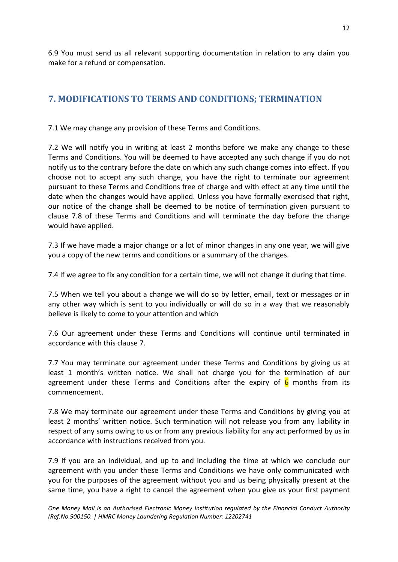6.9 You must send us all relevant supporting documentation in relation to any claim you make for a refund or compensation.

# <span id="page-11-0"></span>**7. MODIFICATIONS TO TERMS AND CONDITIONS; TERMINATION**

7.1 We may change any provision of these Terms and Conditions.

7.2 We will notify you in writing at least 2 months before we make any change to these Terms and Conditions. You will be deemed to have accepted any such change if you do not notify us to the contrary before the date on which any such change comes into effect. If you choose not to accept any such change, you have the right to terminate our agreement pursuant to these Terms and Conditions free of charge and with effect at any time until the date when the changes would have applied. Unless you have formally exercised that right, our notice of the change shall be deemed to be notice of termination given pursuant to clause 7.8 of these Terms and Conditions and will terminate the day before the change would have applied.

7.3 If we have made a major change or a lot of minor changes in any one year, we will give you a copy of the new terms and conditions or a summary of the changes.

7.4 If we agree to fix any condition for a certain time, we will not change it during that time.

7.5 When we tell you about a change we will do so by letter, email, text or messages or in any other way which is sent to you individually or will do so in a way that we reasonably believe is likely to come to your attention and which

7.6 Our agreement under these Terms and Conditions will continue until terminated in accordance with this clause 7.

7.7 You may terminate our agreement under these Terms and Conditions by giving us at least 1 month's written notice. We shall not charge you for the termination of our agreement under these Terms and Conditions after the expiry of  $6$  months from its commencement.

7.8 We may terminate our agreement under these Terms and Conditions by giving you at least 2 months' written notice. Such termination will not release you from any liability in respect of any sums owing to us or from any previous liability for any act performed by us in accordance with instructions received from you.

7.9 If you are an individual, and up to and including the time at which we conclude our agreement with you under these Terms and Conditions we have only communicated with you for the purposes of the agreement without you and us being physically present at the same time, you have a right to cancel the agreement when you give us your first payment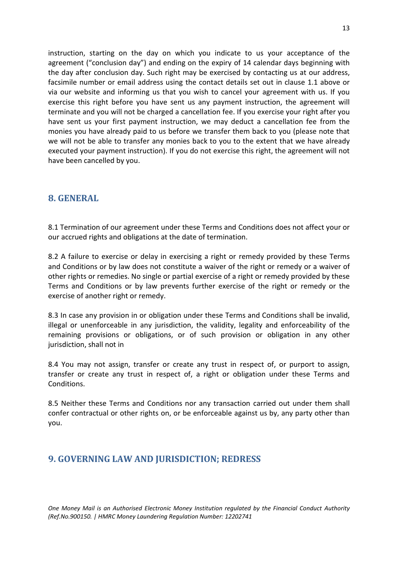instruction, starting on the day on which you indicate to us your acceptance of the agreement ("conclusion day") and ending on the expiry of 14 calendar days beginning with the day after conclusion day. Such right may be exercised by contacting us at our address, facsimile number or email address using the contact details set out in clause 1.1 above or via our website and informing us that you wish to cancel your agreement with us. If you exercise this right before you have sent us any payment instruction, the agreement will terminate and you will not be charged a cancellation fee. If you exercise your right after you have sent us your first payment instruction, we may deduct a cancellation fee from the monies you have already paid to us before we transfer them back to you (please note that we will not be able to transfer any monies back to you to the extent that we have already executed your payment instruction). If you do not exercise this right, the agreement will not have been cancelled by you.

#### <span id="page-12-0"></span>**8. GENERAL**

8.1 Termination of our agreement under these Terms and Conditions does not affect your or our accrued rights and obligations at the date of termination.

8.2 A failure to exercise or delay in exercising a right or remedy provided by these Terms and Conditions or by law does not constitute a waiver of the right or remedy or a waiver of other rights or remedies. No single or partial exercise of a right or remedy provided by these Terms and Conditions or by law prevents further exercise of the right or remedy or the exercise of another right or remedy.

8.3 In case any provision in or obligation under these Terms and Conditions shall be invalid, illegal or unenforceable in any jurisdiction, the validity, legality and enforceability of the remaining provisions or obligations, or of such provision or obligation in any other jurisdiction, shall not in

8.4 You may not assign, transfer or create any trust in respect of, or purport to assign, transfer or create any trust in respect of, a right or obligation under these Terms and Conditions.

8.5 Neither these Terms and Conditions nor any transaction carried out under them shall confer contractual or other rights on, or be enforceable against us by, any party other than you.

# <span id="page-12-1"></span>**9. GOVERNING LAW AND JURISDICTION; REDRESS**